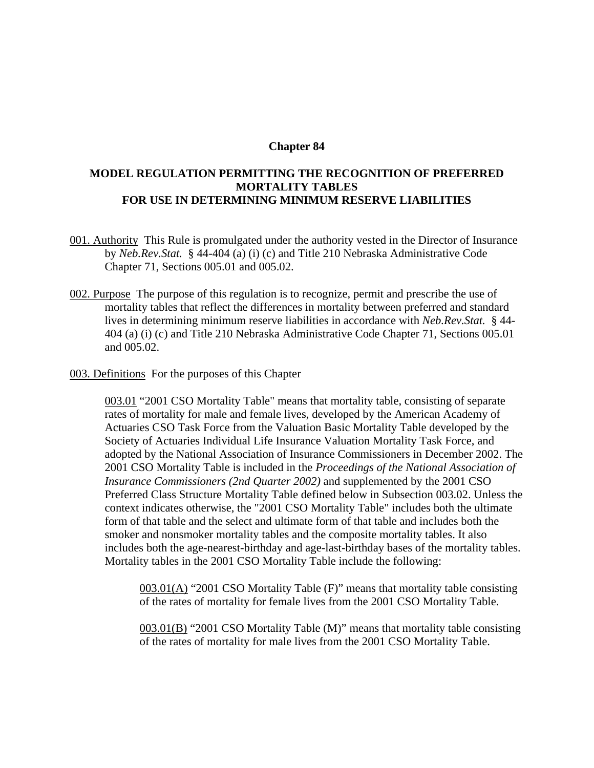## **Chapter 84**

## **MODEL REGULATION PERMITTING THE RECOGNITION OF PREFERRED MORTALITY TABLES FOR USE IN DETERMINING MINIMUM RESERVE LIABILITIES**

- 001. Authority This Rule is promulgated under the authority vested in the Director of Insurance by *Neb.Rev.Stat.* § 44-404 (a) (i) (c) and Title 210 Nebraska Administrative Code Chapter 71, Sections 005.01 and 005.02.
- 002. Purpose The purpose of this regulation is to recognize, permit and prescribe the use of mortality tables that reflect the differences in mortality between preferred and standard lives in determining minimum reserve liabilities in accordance with *Neb.Rev.Stat.* § 44- 404 (a) (i) (c) and Title 210 Nebraska Administrative Code Chapter 71, Sections 005.01 and 005.02.
- 003. Definitions For the purposes of this Chapter

003.01 "2001 CSO Mortality Table" means that mortality table, consisting of separate rates of mortality for male and female lives, developed by the American Academy of Actuaries CSO Task Force from the Valuation Basic Mortality Table developed by the Society of Actuaries Individual Life Insurance Valuation Mortality Task Force, and adopted by the National Association of Insurance Commissioners in December 2002. The 2001 CSO Mortality Table is included in the *Proceedings of the National Association of Insurance Commissioners (2nd Quarter 2002)* and supplemented by the 2001 CSO Preferred Class Structure Mortality Table defined below in Subsection 003.02. Unless the context indicates otherwise, the "2001 CSO Mortality Table" includes both the ultimate form of that table and the select and ultimate form of that table and includes both the smoker and nonsmoker mortality tables and the composite mortality tables. It also includes both the age-nearest-birthday and age-last-birthday bases of the mortality tables. Mortality tables in the 2001 CSO Mortality Table include the following:

 $003.01(A)$  "2001 CSO Mortality Table (F)" means that mortality table consisting of the rates of mortality for female lives from the 2001 CSO Mortality Table.

003.01(B) "2001 CSO Mortality Table (M)" means that mortality table consisting of the rates of mortality for male lives from the 2001 CSO Mortality Table.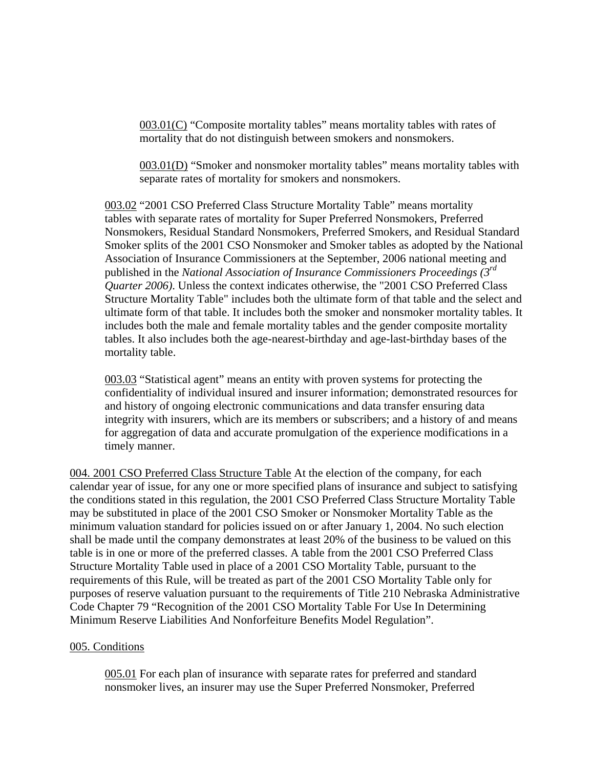003.01(C) "Composite mortality tables" means mortality tables with rates of mortality that do not distinguish between smokers and nonsmokers.

003.01(D) "Smoker and nonsmoker mortality tables" means mortality tables with separate rates of mortality for smokers and nonsmokers.

003.02 "2001 CSO Preferred Class Structure Mortality Table" means mortality tables with separate rates of mortality for Super Preferred Nonsmokers, Preferred Nonsmokers, Residual Standard Nonsmokers, Preferred Smokers, and Residual Standard Smoker splits of the 2001 CSO Nonsmoker and Smoker tables as adopted by the National Association of Insurance Commissioners at the September, 2006 national meeting and published in the *National Association of Insurance Commissioners Proceedings (3rd Quarter 2006)*. Unless the context indicates otherwise, the "2001 CSO Preferred Class Structure Mortality Table" includes both the ultimate form of that table and the select and ultimate form of that table. It includes both the smoker and nonsmoker mortality tables. It includes both the male and female mortality tables and the gender composite mortality tables. It also includes both the age-nearest-birthday and age-last-birthday bases of the mortality table.

003.03 "Statistical agent" means an entity with proven systems for protecting the confidentiality of individual insured and insurer information; demonstrated resources for and history of ongoing electronic communications and data transfer ensuring data integrity with insurers, which are its members or subscribers; and a history of and means for aggregation of data and accurate promulgation of the experience modifications in a timely manner.

004. 2001 CSO Preferred Class Structure Table At the election of the company, for each calendar year of issue, for any one or more specified plans of insurance and subject to satisfying the conditions stated in this regulation, the 2001 CSO Preferred Class Structure Mortality Table may be substituted in place of the 2001 CSO Smoker or Nonsmoker Mortality Table as the minimum valuation standard for policies issued on or after January 1, 2004. No such election shall be made until the company demonstrates at least 20% of the business to be valued on this table is in one or more of the preferred classes. A table from the 2001 CSO Preferred Class Structure Mortality Table used in place of a 2001 CSO Mortality Table, pursuant to the requirements of this Rule, will be treated as part of the 2001 CSO Mortality Table only for purposes of reserve valuation pursuant to the requirements of Title 210 Nebraska Administrative Code Chapter 79 "Recognition of the 2001 CSO Mortality Table For Use In Determining Minimum Reserve Liabilities And Nonforfeiture Benefits Model Regulation".

## 005. Conditions

005.01 For each plan of insurance with separate rates for preferred and standard nonsmoker lives, an insurer may use the Super Preferred Nonsmoker, Preferred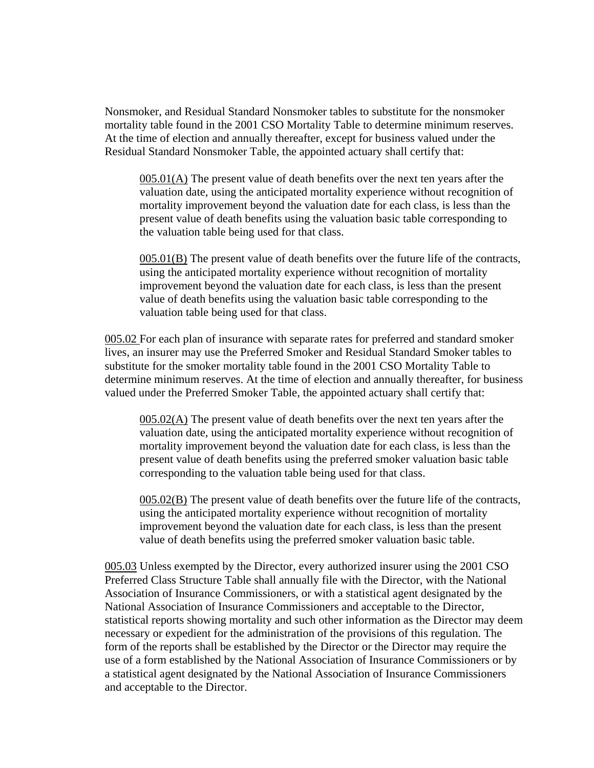Nonsmoker, and Residual Standard Nonsmoker tables to substitute for the nonsmoker mortality table found in the 2001 CSO Mortality Table to determine minimum reserves. At the time of election and annually thereafter, except for business valued under the Residual Standard Nonsmoker Table, the appointed actuary shall certify that:

005.01(A) The present value of death benefits over the next ten years after the valuation date, using the anticipated mortality experience without recognition of mortality improvement beyond the valuation date for each class, is less than the present value of death benefits using the valuation basic table corresponding to the valuation table being used for that class.

005.01(B) The present value of death benefits over the future life of the contracts, using the anticipated mortality experience without recognition of mortality improvement beyond the valuation date for each class, is less than the present value of death benefits using the valuation basic table corresponding to the valuation table being used for that class.

005.02 For each plan of insurance with separate rates for preferred and standard smoker lives, an insurer may use the Preferred Smoker and Residual Standard Smoker tables to substitute for the smoker mortality table found in the 2001 CSO Mortality Table to determine minimum reserves. At the time of election and annually thereafter, for business valued under the Preferred Smoker Table, the appointed actuary shall certify that:

005.02(A) The present value of death benefits over the next ten years after the valuation date, using the anticipated mortality experience without recognition of mortality improvement beyond the valuation date for each class, is less than the present value of death benefits using the preferred smoker valuation basic table corresponding to the valuation table being used for that class.

005.02(B) The present value of death benefits over the future life of the contracts, using the anticipated mortality experience without recognition of mortality improvement beyond the valuation date for each class, is less than the present value of death benefits using the preferred smoker valuation basic table.

005.03 Unless exempted by the Director, every authorized insurer using the 2001 CSO Preferred Class Structure Table shall annually file with the Director, with the National Association of Insurance Commissioners, or with a statistical agent designated by the National Association of Insurance Commissioners and acceptable to the Director, statistical reports showing mortality and such other information as the Director may deem necessary or expedient for the administration of the provisions of this regulation. The form of the reports shall be established by the Director or the Director may require the use of a form established by the National Association of Insurance Commissioners or by a statistical agent designated by the National Association of Insurance Commissioners and acceptable to the Director.